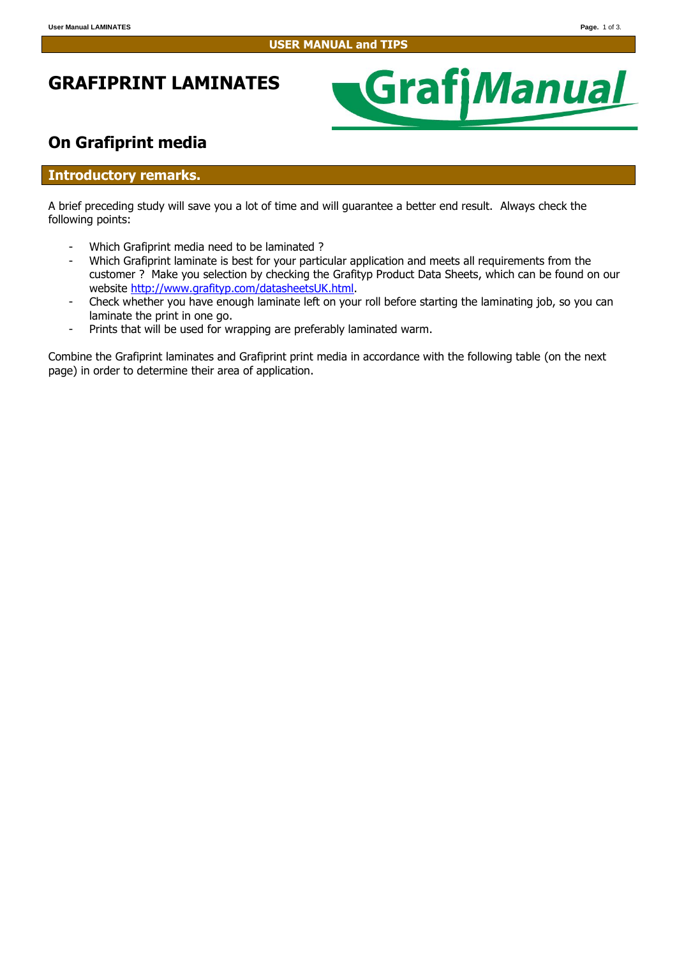# **GRAFIPRINT LAMINATES**



## **On Grafiprint media**

### **Introductory remarks.**

A brief preceding study will save you a lot of time and will guarantee a better end result. Always check the following points:

- Which Grafiprint media need to be laminated ?
- Which Grafiprint laminate is best for your particular application and meets all requirements from the customer ? Make you selection by checking the Grafityp Product Data Sheets, which can be found on our website [http://www.grafityp.com/datasheetsUK.html.](http://www.grafityp.com/datasheetsUK.html)
- Check whether you have enough laminate left on your roll before starting the laminating job, so you can laminate the print in one go.
- Prints that will be used for wrapping are preferably laminated warm.

Combine the Grafiprint laminates and Grafiprint print media in accordance with the following table (on the next page) in order to determine their area of application.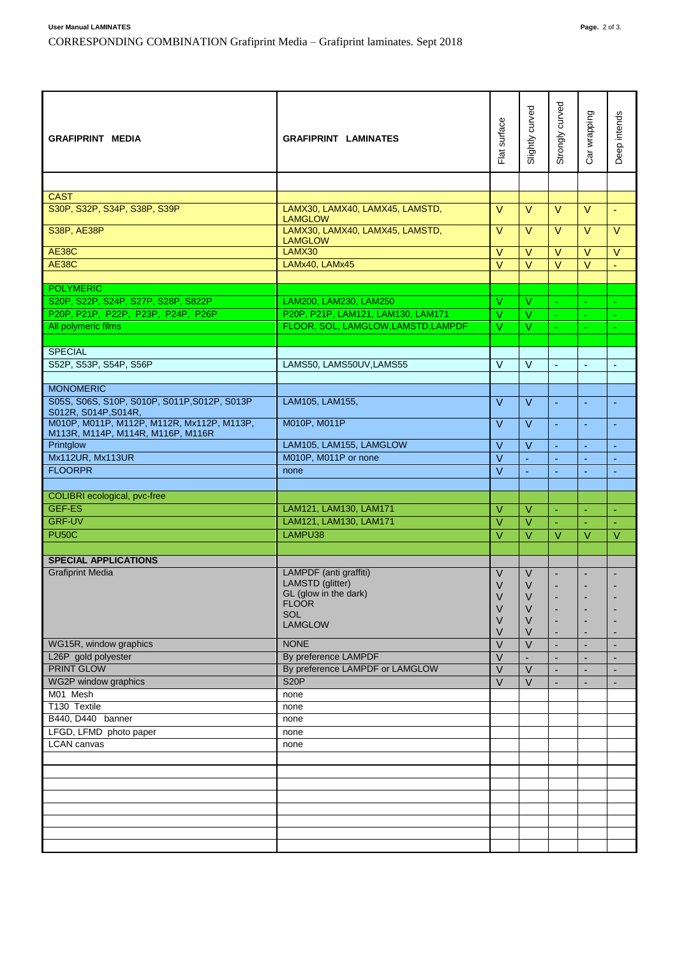| <b>GRAFIPRINT MEDIA</b>                                                                                 | <b>GRAFIPRINT LAMINATES</b>                                               | Flat surface            | Slightly curved  | Strongly curved          | Car wrapping             | Deep intends   |
|---------------------------------------------------------------------------------------------------------|---------------------------------------------------------------------------|-------------------------|------------------|--------------------------|--------------------------|----------------|
|                                                                                                         |                                                                           |                         |                  |                          |                          |                |
| <b>CAST</b>                                                                                             |                                                                           |                         |                  |                          |                          |                |
| S30P, S32P, S34P, S38P, S39P                                                                            | LAMX30, LAMX40, LAMX45, LAMSTD,                                           | $\vee$                  | $\vee$           | $\vee$                   | $\vee$                   | ÷.             |
| S38P, AE38P                                                                                             | <b>LAMGLOW</b><br>LAMX30, LAMX40, LAMX45, LAMSTD,<br><b>LAMGLOW</b>       | $\vee$                  | $\vee$           | $\vee$                   | $\vee$                   | $\vee$         |
| <b>AE38C</b>                                                                                            | LAMX30                                                                    | V                       | $\vee$           | $\vee$                   | $\vee$                   | V              |
| <b>AE38C</b>                                                                                            | LAMx40, LAMx45                                                            | $\overline{\mathsf{V}}$ | $\overline{V}$   | $\overline{\vee}$        | $\overline{\vee}$        | L.             |
|                                                                                                         |                                                                           |                         |                  |                          |                          |                |
| <b>POLYMERIC</b>                                                                                        |                                                                           |                         |                  |                          |                          |                |
| S20P, S22P, S24P, S27P, S28P, S822P                                                                     | LAM200, LAM230, LAM250                                                    | $\vee$                  | V                | ÷.                       | ÷                        | ÷              |
| P20P, P21P, P22P, P23P, P24P, P26P                                                                      | P20P, P21P, LAM121, LAM130, LAM171<br>FLOOR, SOL, LAMGLOW, LAMSTD, LAMPDF | $\vee$                  | V<br>V           | $\blacksquare$           | $\blacksquare$           | ٠              |
| All polymeric films                                                                                     |                                                                           | V                       |                  |                          | $\blacksquare$           |                |
| <b>SPECIAL</b>                                                                                          |                                                                           |                         |                  |                          |                          |                |
| S52P, S53P, S54P, S56P                                                                                  | LAMS50, LAMS50UV, LAMS55                                                  | $\vee$                  | $\vee$           | $\blacksquare$           | $\blacksquare$           | $\blacksquare$ |
|                                                                                                         |                                                                           |                         |                  |                          |                          |                |
| <b>MONOMERIC</b>                                                                                        |                                                                           |                         |                  |                          |                          |                |
| S05S, S06S, S10P, S010P, S011P, S012P, S013P                                                            | LAM105, LAM155,                                                           | $\vee$                  | V                | $\sim$                   | ÷,                       | Ξ              |
| S012R, S014P, S014R,<br>M010P, M011P, M112P, M112R, Mx112P, M113P,<br>M113R, M114P, M114R, M116P, M116R | M010P, M011P                                                              | $\vee$                  | $\vee$           | $\blacksquare$           | $\blacksquare$           | ٠              |
| Printglow                                                                                               | LAM105, LAM155, LAMGLOW                                                   | $\vee$                  | $\vee$           | ä,                       | Ξ                        | ä,             |
| Mx112UR, Mx113UR                                                                                        | M010P, M011P or none                                                      | $\overline{\vee}$       | $\omega$         | $\blacksquare$           | $\blacksquare$           | Ξ              |
| <b>FLOORPR</b>                                                                                          | none                                                                      | $\vee$                  | $\blacksquare$   | $\blacksquare$           | ä,                       | ٠              |
|                                                                                                         |                                                                           |                         |                  |                          |                          |                |
| <b>COLIBRI</b> ecological, pvc-free                                                                     |                                                                           |                         |                  |                          |                          |                |
| <b>GEF-ES</b>                                                                                           | LAM121, LAM130, LAM171                                                    | $\vee$                  | $\vee$           | ÷,                       | ä,                       | ä,             |
| <b>GRF-UV</b>                                                                                           | LAM121, LAM130, LAM171                                                    | $\vee$                  | $\vee$           | $\omega$                 | ÷,                       | $\blacksquare$ |
| <b>PU50C</b>                                                                                            | LAMPU38                                                                   | $\vee$                  | $\vee$           | $\vee$                   | $\vee$                   | V              |
| <b>SPECIAL APPLICATIONS</b>                                                                             |                                                                           |                         |                  |                          |                          |                |
| <b>Grafiprint Media</b>                                                                                 | LAMPDF (anti graffiti)                                                    | V                       | V                |                          |                          |                |
|                                                                                                         | LAMSTD (glitter)                                                          | V                       | $\vee$           |                          |                          |                |
|                                                                                                         | GL (glow in the dark)                                                     | $\vee$                  | $\sf V$          | ٠                        |                          |                |
|                                                                                                         | <b>FLOOR</b><br><b>SOL</b>                                                | V                       | $\vee$           |                          |                          |                |
|                                                                                                         | <b>LAMGLOW</b>                                                            | V<br>V                  | $\vee$<br>$\vee$ |                          | ٠                        |                |
| WG15R, window graphics                                                                                  | <b>NONE</b>                                                               | $\vee$                  | $\vee$           | $\blacksquare$           | $\overline{\phantom{a}}$ | ÷,             |
| L26P gold polyester                                                                                     | By preference LAMPDF                                                      | $\vee$                  |                  | ٠                        | ٠                        | ۰              |
| <b>PRINT GLOW</b>                                                                                       | By preference LAMPDF or LAMGLOW                                           | $\vee$                  | $\vee$           | ÷,                       | ÷,                       | ÷              |
| WG2P window graphics                                                                                    | <b>S20P</b>                                                               | $\vee$                  | $\vee$           | $\overline{\phantom{a}}$ | ÷                        | ۰              |
| M01 Mesh                                                                                                | none                                                                      |                         |                  |                          |                          |                |
| T130 Textile                                                                                            | none                                                                      |                         |                  |                          |                          |                |
| B440, D440 banner                                                                                       | none                                                                      |                         |                  |                          |                          |                |
| LFGD, LFMD photo paper<br><b>LCAN</b> canvas                                                            | none                                                                      |                         |                  |                          |                          |                |
|                                                                                                         | none                                                                      |                         |                  |                          |                          |                |
|                                                                                                         |                                                                           |                         |                  |                          |                          |                |
|                                                                                                         |                                                                           |                         |                  |                          |                          |                |
|                                                                                                         |                                                                           |                         |                  |                          |                          |                |
|                                                                                                         |                                                                           |                         |                  |                          |                          |                |
|                                                                                                         |                                                                           |                         |                  |                          |                          |                |
|                                                                                                         |                                                                           |                         |                  |                          |                          |                |
|                                                                                                         |                                                                           |                         |                  |                          |                          |                |